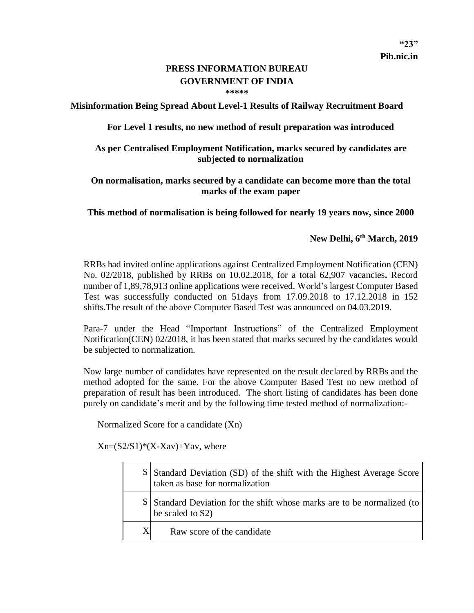**"23"**

## **PRESS INFORMATION BUREAU GOVERNMENT OF INDIA \*\*\*\*\***

**Misinformation Being Spread About Level-1 Results of Railway Recruitment Board**

**For Level 1 results, no new method of result preparation was introduced**

## **As per Centralised Employment Notification, marks secured by candidates are subjected to normalization**

## **On normalisation, marks secured by a candidate can become more than the total marks of the exam paper**

**This method of normalisation is being followed for nearly 19 years now, since 2000**

## **New Delhi, 6 th March, 2019**

RRBs had invited online applications against Centralized Employment Notification (CEN) No. 02/2018, published by RRBs on 10.02.2018, for a total 62,907 vacancies**.** Record number of 1,89,78,913 online applications were received. World's largest Computer Based Test was successfully conducted on 51days from 17.09.2018 to 17.12.2018 in 152 shifts.The result of the above Computer Based Test was announced on 04.03.2019.

Para-7 under the Head "Important Instructions" of the Centralized Employment Notification(CEN) 02/2018, it has been stated that marks secured by the candidates would be subjected to normalization.

Now large number of candidates have represented on the result declared by RRBs and the method adopted for the same. For the above Computer Based Test no new method of preparation of result has been introduced. The short listing of candidates has been done purely on candidate's merit and by the following time tested method of normalization:-

Normalized Score for a candidate (Xn)

 $Xn=(S2/S1)*(X-Xav)+Yav$ , where

|   | S Standard Deviation (SD) of the shift with the Highest Average Score<br>taken as base for normalization |
|---|----------------------------------------------------------------------------------------------------------|
|   | S Standard Deviation for the shift whose marks are to be normalized (to<br>be scaled to S2)              |
| X | Raw score of the candidate                                                                               |